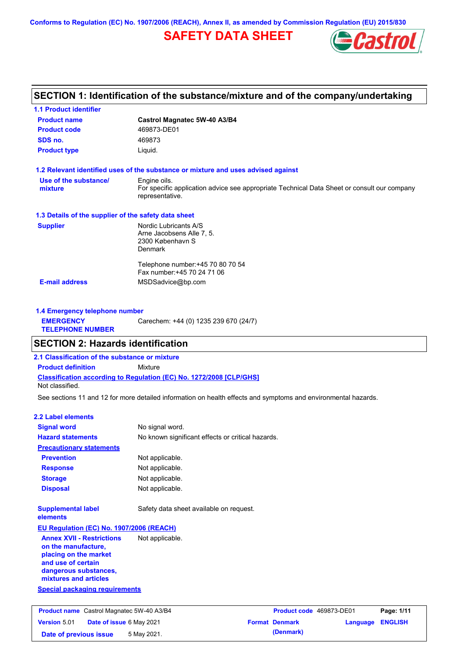**Conforms to Regulation (EC) No. 1907/2006 (REACH), Annex II, as amended by Commission Regulation (EU) 2015/830**

# **SAFETY DATA SHEET**



# **SECTION 1: Identification of the substance/mixture and of the company/undertaking**

| <b>1.1 Product identifier</b>                        |                                                                                                                |
|------------------------------------------------------|----------------------------------------------------------------------------------------------------------------|
| <b>Product name</b>                                  | Castrol Magnatec 5W-40 A3/B4                                                                                   |
| <b>Product code</b>                                  | 469873-DE01                                                                                                    |
| SDS no.                                              | 469873                                                                                                         |
| <b>Product type</b>                                  | Liquid.                                                                                                        |
|                                                      | 1.2 Relevant identified uses of the substance or mixture and uses advised against                              |
| Use of the substance/                                | Engine oils.                                                                                                   |
| mixture                                              | For specific application advice see appropriate Technical Data Sheet or consult our company<br>representative. |
| 1.3 Details of the supplier of the safety data sheet |                                                                                                                |
| <b>Supplier</b>                                      | Nordic Lubricants A/S                                                                                          |
|                                                      | Arne Jacobsens Alle 7, 5.                                                                                      |
|                                                      | 2300 København S<br><b>Denmark</b>                                                                             |
|                                                      |                                                                                                                |
|                                                      | Telephone number: +45 70 80 70 54                                                                              |
|                                                      | Fax number: +45 70 24 71 06                                                                                    |
| <b>E-mail address</b>                                | MSDSadvice@bp.com                                                                                              |
|                                                      |                                                                                                                |
|                                                      |                                                                                                                |

| 1.4 Emergency telephone number              |                                       |  |  |
|---------------------------------------------|---------------------------------------|--|--|
| <b>EMERGENCY</b><br><b>TELEPHONE NUMBER</b> | Carechem: +44 (0) 1235 239 670 (24/7) |  |  |

### **SECTION 2: Hazards identification**

**2.1 Classification of the substance or mixture**

**Classification according to Regulation (EC) No. 1272/2008 [CLP/GHS] Product definition** Mixture

Not classified.

See sections 11 and 12 for more detailed information on health effects and symptoms and environmental hazards.

#### **2.2 Label elements**

| <b>Signal word</b>                                                                                                                                       | No signal word.                                   |                       |
|----------------------------------------------------------------------------------------------------------------------------------------------------------|---------------------------------------------------|-----------------------|
| <b>Hazard statements</b>                                                                                                                                 | No known significant effects or critical hazards. |                       |
| <b>Precautionary statements</b>                                                                                                                          |                                                   |                       |
| <b>Prevention</b>                                                                                                                                        | Not applicable.                                   |                       |
| <b>Response</b>                                                                                                                                          | Not applicable.                                   |                       |
| <b>Storage</b>                                                                                                                                           | Not applicable.                                   |                       |
| <b>Disposal</b>                                                                                                                                          | Not applicable.                                   |                       |
| <b>Supplemental label</b><br>elements                                                                                                                    | Safety data sheet available on request.           |                       |
| EU Regulation (EC) No. 1907/2006 (REACH)                                                                                                                 |                                                   |                       |
| <b>Annex XVII - Restrictions</b><br>on the manufacture,<br>placing on the market<br>and use of certain<br>dangerous substances,<br>mixtures and articles | Not applicable.                                   |                       |
| <b>Special packaging requirements</b>                                                                                                                    |                                                   |                       |
| <b>Product name</b> Castrol Magnatec 5W-40 A3/B4                                                                                                         |                                                   | <b>Product code 4</b> |
| <b>Version 5.01</b><br>Date of issue 6 May 2021                                                                                                          |                                                   | <b>Format Denmark</b> |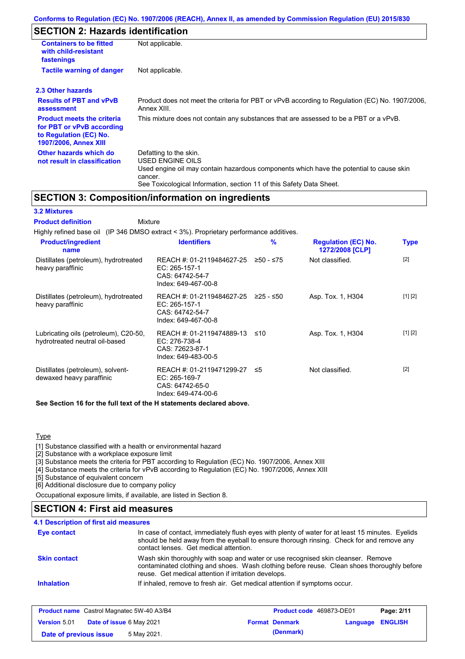# **SECTION 2: Hazards identification**

| <b>Containers to be fitted</b><br>with child-resistant<br>fastenings                                                     | Not applicable.                                                                                                                                                                                                          |
|--------------------------------------------------------------------------------------------------------------------------|--------------------------------------------------------------------------------------------------------------------------------------------------------------------------------------------------------------------------|
| <b>Tactile warning of danger</b>                                                                                         | Not applicable.                                                                                                                                                                                                          |
| 2.3 Other hazards                                                                                                        |                                                                                                                                                                                                                          |
| <b>Results of PBT and vPvB</b><br>assessment                                                                             | Product does not meet the criteria for PBT or vPvB according to Regulation (EC) No. 1907/2006.<br>Annex XIII.                                                                                                            |
| <b>Product meets the criteria</b><br>for PBT or vPvB according<br>to Regulation (EC) No.<br><b>1907/2006, Annex XIII</b> | This mixture does not contain any substances that are assessed to be a PBT or a vPvB.                                                                                                                                    |
| Other hazards which do<br>not result in classification                                                                   | Defatting to the skin.<br>USED ENGINE OILS<br>Used engine oil may contain hazardous components which have the potential to cause skin<br>cancer.<br>See Toxicological Information, section 11 of this Safety Data Sheet. |

### **SECTION 3: Composition/information on ingredients**

#### **3.2 Mixtures**

| <b>Product definition</b><br>Mixture                                                       |                                                                                         |             |                                               |             |
|--------------------------------------------------------------------------------------------|-----------------------------------------------------------------------------------------|-------------|-----------------------------------------------|-------------|
| Highly refined base oil (IP 346 DMSO extract $\lt$ 3%). Proprietary performance additives. |                                                                                         |             |                                               |             |
| <b>Product/ingredient</b><br>name                                                          | <b>Identifiers</b>                                                                      | %           | <b>Regulation (EC) No.</b><br>1272/2008 [CLP] | <b>Type</b> |
| Distillates (petroleum), hydrotreated<br>heavy paraffinic                                  | REACH #: 01-2119484627-25<br>EC: 265-157-1<br>CAS: 64742-54-7<br>Index: 649-467-00-8    | $≥50 - ≤75$ | Not classified.                               | $[2]$       |
| Distillates (petroleum), hydrotreated<br>heavy paraffinic                                  | REACH #: 01-2119484627-25<br>EC: 265-157-1<br>CAS: 64742-54-7<br>Index: 649-467-00-8    | 225 - ≤50   | Asp. Tox. 1, H304                             | [1] [2]     |
| Lubricating oils (petroleum), C20-50,<br>hydrotreated neutral oil-based                    | REACH #: 01-2119474889-13<br>EC: 276-738-4<br>CAS: 72623-87-1<br>Index: 649-483-00-5    | ≤10         | Asp. Tox. 1, H304                             | [1] [2]     |
| Distillates (petroleum), solvent-<br>dewaxed heavy paraffinic                              | REACH #: 01-2119471299-27 ≤5<br>EC: 265-169-7<br>CAS: 64742-65-0<br>Index: 649-474-00-6 |             | Not classified.                               | $[2]$       |

**See Section 16 for the full text of the H statements declared above.**

**Type** 

[1] Substance classified with a health or environmental hazard

[2] Substance with a workplace exposure limit

[3] Substance meets the criteria for PBT according to Regulation (EC) No. 1907/2006, Annex XIII

[4] Substance meets the criteria for vPvB according to Regulation (EC) No. 1907/2006, Annex XIII

[5] Substance of equivalent concern

[6] Additional disclosure due to company policy

Occupational exposure limits, if available, are listed in Section 8.

### **SECTION 4: First aid measures**

| <b>Eye contact</b>  | In case of contact, immediately flush eyes with plenty of water for at least 15 minutes. Eyelids<br>should be held away from the eyeball to ensure thorough rinsing. Check for and remove any<br>contact lenses. Get medical attention. |
|---------------------|-----------------------------------------------------------------------------------------------------------------------------------------------------------------------------------------------------------------------------------------|
| <b>Skin contact</b> | Wash skin thoroughly with soap and water or use recognised skin cleanser. Remove<br>contaminated clothing and shoes. Wash clothing before reuse. Clean shoes thoroughly before<br>reuse. Get medical attention if irritation develops.  |
| <b>Inhalation</b>   | If inhaled, remove to fresh air. Get medical attention if symptoms occur.                                                                                                                                                               |

| <b>Product name</b> Castrol Magnatec 5W-40 A3/B4 |                                 | <b>Product code</b> 469873-DE01 |  | Page: 2/11            |                         |  |
|--------------------------------------------------|---------------------------------|---------------------------------|--|-----------------------|-------------------------|--|
| Version 5.01                                     | <b>Date of issue 6 May 2021</b> |                                 |  | <b>Format Denmark</b> | <b>Language ENGLISH</b> |  |
| Date of previous issue                           |                                 | 5 May 2021.                     |  | (Denmark)             |                         |  |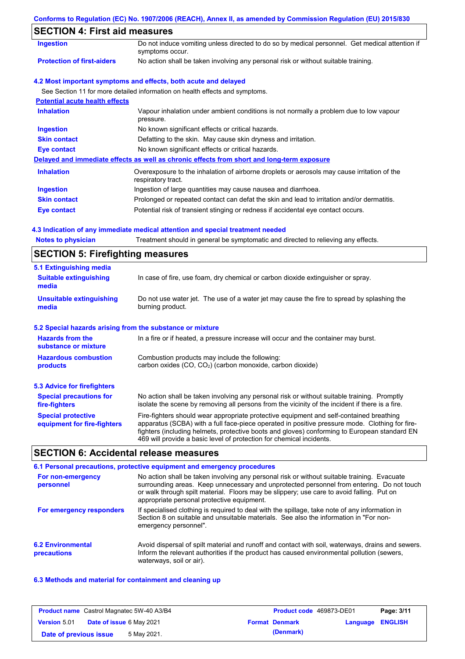| Conforms to Regulation (EC) No. 1907/2006 (REACH), Annex II, as amended by Commission Regulation (EU) 2015/830 |  |  |  |  |
|----------------------------------------------------------------------------------------------------------------|--|--|--|--|
|----------------------------------------------------------------------------------------------------------------|--|--|--|--|

# **SECTION 4: First aid measures**

| 929 HON 4. LIIST AIG MICASULES        |                                                                                                                   |
|---------------------------------------|-------------------------------------------------------------------------------------------------------------------|
| <b>Ingestion</b>                      | Do not induce vomiting unless directed to do so by medical personnel. Get medical attention if<br>symptoms occur. |
| <b>Protection of first-aiders</b>     | No action shall be taken involving any personal risk or without suitable training.                                |
|                                       | 4.2 Most important symptoms and effects, both acute and delayed                                                   |
|                                       | See Section 11 for more detailed information on health effects and symptoms.                                      |
| <b>Potential acute health effects</b> |                                                                                                                   |
| <b>Inhalation</b>                     | Vapour inhalation under ambient conditions is not normally a problem due to low vapour<br>pressure.               |
| <b>Ingestion</b>                      | No known significant effects or critical hazards.                                                                 |
| <b>Skin contact</b>                   | Defatting to the skin. May cause skin dryness and irritation.                                                     |
| Eye contact                           | No known significant effects or critical hazards.                                                                 |
|                                       | Delayed and immediate effects as well as chronic effects from short and long-term exposure                        |
| <b>Inhalation</b>                     | Overexposure to the inhalation of airborne droplets or aerosols may cause irritation of the<br>respiratory tract. |
| <b>Ingestion</b>                      | Ingestion of large quantities may cause nausea and diarrhoea.                                                     |
| <b>Skin contact</b>                   | Prolonged or repeated contact can defat the skin and lead to irritation and/or dermatitis.                        |
| Eye contact                           | Potential risk of transient stinging or redness if accidental eye contact occurs.                                 |

#### **4.3 Indication of any immediate medical attention and special treatment needed**

# **SECTION 5: Firefighting measures**

| 5.1 Extinguishing media                                   |                                                                                                                                                                                                                                                                                                                                                                   |
|-----------------------------------------------------------|-------------------------------------------------------------------------------------------------------------------------------------------------------------------------------------------------------------------------------------------------------------------------------------------------------------------------------------------------------------------|
| <b>Suitable extinguishing</b><br>media                    | In case of fire, use foam, dry chemical or carbon dioxide extinguisher or spray.                                                                                                                                                                                                                                                                                  |
| <b>Unsuitable extinguishing</b><br>media                  | Do not use water jet. The use of a water jet may cause the fire to spread by splashing the<br>burning product.                                                                                                                                                                                                                                                    |
| 5.2 Special hazards arising from the substance or mixture |                                                                                                                                                                                                                                                                                                                                                                   |
| <b>Hazards from the</b><br>substance or mixture           | In a fire or if heated, a pressure increase will occur and the container may burst.                                                                                                                                                                                                                                                                               |
| <b>Hazardous combustion</b><br>products                   | Combustion products may include the following:<br>carbon oxides (CO, CO <sub>2</sub> ) (carbon monoxide, carbon dioxide)                                                                                                                                                                                                                                          |
|                                                           |                                                                                                                                                                                                                                                                                                                                                                   |
| 5.3 Advice for firefighters                               |                                                                                                                                                                                                                                                                                                                                                                   |
| <b>Special precautions for</b><br>fire-fighters           | No action shall be taken involving any personal risk or without suitable training. Promptly<br>isolate the scene by removing all persons from the vicinity of the incident if there is a fire.                                                                                                                                                                    |
| <b>Special protective</b><br>equipment for fire-fighters  | Fire-fighters should wear appropriate protective equipment and self-contained breathing<br>apparatus (SCBA) with a full face-piece operated in positive pressure mode. Clothing for fire-<br>fighters (including helmets, protective boots and gloves) conforming to European standard EN<br>469 will provide a basic level of protection for chemical incidents. |

### **SECTION 6: Accidental release measures**

#### **6.2 Environmental precautions** Avoid dispersal of spilt material and runoff and contact with soil, waterways, drains and sewers. Inform the relevant authorities if the product has caused environmental pollution (sewers, waterways, soil or air). **6.1 Personal precautions, protective equipment and emergency procedures For non-emergency personnel For emergency responders** No action shall be taken involving any personal risk or without suitable training. Evacuate surrounding areas. Keep unnecessary and unprotected personnel from entering. Do not touch or walk through spilt material. Floors may be slippery; use care to avoid falling. Put on appropriate personal protective equipment. If specialised clothing is required to deal with the spillage, take note of any information in Section 8 on suitable and unsuitable materials. See also the information in "For nonemergency personnel".

### **6.3 Methods and material for containment and cleaning up**

| <b>Product name</b> Castrol Magnatec 5W-40 A3/B4 |                                 | <b>Product code</b> 469873-DE01 |  | Page: 3/11            |                  |  |
|--------------------------------------------------|---------------------------------|---------------------------------|--|-----------------------|------------------|--|
| <b>Version 5.01</b>                              | <b>Date of issue 6 May 2021</b> |                                 |  | <b>Format Denmark</b> | Language ENGLISH |  |
| Date of previous issue                           |                                 | 5 May 2021.                     |  | (Denmark)             |                  |  |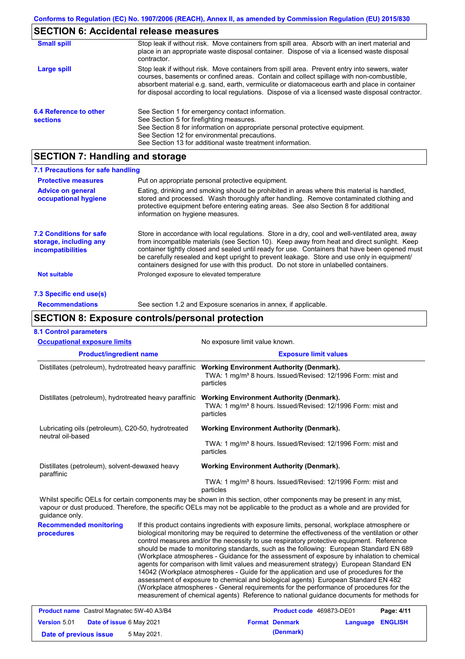### **SECTION 6: Accidental release measures**

| <b>Small spill</b>                        | Stop leak if without risk. Move containers from spill area. Absorb with an inert material and<br>place in an appropriate waste disposal container. Dispose of via a licensed waste disposal<br>contractor.                                                                                                                                                                                     |
|-------------------------------------------|------------------------------------------------------------------------------------------------------------------------------------------------------------------------------------------------------------------------------------------------------------------------------------------------------------------------------------------------------------------------------------------------|
| Large spill                               | Stop leak if without risk. Move containers from spill area. Prevent entry into sewers, water<br>courses, basements or confined areas. Contain and collect spillage with non-combustible,<br>absorbent material e.g. sand, earth, vermiculite or diatomaceous earth and place in container<br>for disposal according to local regulations. Dispose of via a licensed waste disposal contractor. |
| 6.4 Reference to other<br><b>sections</b> | See Section 1 for emergency contact information.<br>See Section 5 for firefighting measures.<br>See Section 8 for information on appropriate personal protective equipment.<br>See Section 12 for environmental precautions.<br>See Section 13 for additional waste treatment information.                                                                                                     |

### **SECTION 7: Handling and storage**

| 7.1 Precautions for safe handling                                                    |                                                                                                                                                                                                                                                                                                                                                                                                                                                                                          |
|--------------------------------------------------------------------------------------|------------------------------------------------------------------------------------------------------------------------------------------------------------------------------------------------------------------------------------------------------------------------------------------------------------------------------------------------------------------------------------------------------------------------------------------------------------------------------------------|
| <b>Protective measures</b>                                                           | Put on appropriate personal protective equipment.                                                                                                                                                                                                                                                                                                                                                                                                                                        |
| <b>Advice on general</b><br>occupational hygiene                                     | Eating, drinking and smoking should be prohibited in areas where this material is handled.<br>stored and processed. Wash thoroughly after handling. Remove contaminated clothing and<br>protective equipment before entering eating areas. See also Section 8 for additional<br>information on hygiene measures.                                                                                                                                                                         |
| <b>7.2 Conditions for safe</b><br>storage, including any<br><i>incompatibilities</i> | Store in accordance with local regulations. Store in a dry, cool and well-ventilated area, away<br>from incompatible materials (see Section 10). Keep away from heat and direct sunlight. Keep<br>container tightly closed and sealed until ready for use. Containers that have been opened must<br>be carefully resealed and kept upright to prevent leakage. Store and use only in equipment/<br>containers designed for use with this product. Do not store in unlabelled containers. |
| <b>Not suitable</b>                                                                  | Prolonged exposure to elevated temperature                                                                                                                                                                                                                                                                                                                                                                                                                                               |
| 7.3 Specific end use(s)                                                              |                                                                                                                                                                                                                                                                                                                                                                                                                                                                                          |
| <b>Recommendations</b>                                                               | See section 1.2 and Exposure scenarios in annex, if applicable.                                                                                                                                                                                                                                                                                                                                                                                                                          |

### **SECTION 8: Exposure controls/personal protection**

| 1.1 Control parameters                                                  |                                                                                                                                          |
|-------------------------------------------------------------------------|------------------------------------------------------------------------------------------------------------------------------------------|
| <b>Occupational exposure limits</b>                                     | No exposure limit value known.                                                                                                           |
| <b>Product/ingredient name</b>                                          | <b>Exposure limit values</b>                                                                                                             |
| Distillates (petroleum), hydrotreated heavy paraffinic                  | <b>Working Environment Authority (Denmark).</b><br>TWA: 1 mg/m <sup>3</sup> 8 hours. Issued/Revised: 12/1996 Form: mist and<br>particles |
| Distillates (petroleum), hydrotreated heavy paraffinic                  | <b>Working Environment Authority (Denmark).</b><br>TWA: 1 mg/m <sup>3</sup> 8 hours. Issued/Revised: 12/1996 Form: mist and<br>particles |
| Lubricating oils (petroleum), C20-50, hydrotreated<br>neutral oil-based | <b>Working Environment Authority (Denmark).</b>                                                                                          |
|                                                                         | TWA: 1 mg/m <sup>3</sup> 8 hours. Issued/Revised: 12/1996 Form: mist and<br>particles                                                    |
| Distillates (petroleum), solvent-dewaxed heavy<br>paraffinic            | Working Environment Authority (Denmark).                                                                                                 |
|                                                                         | TWA: 1 mg/m <sup>3</sup> 8 hours. Issued/Revised: 12/1996 Form: mist and<br>particles                                                    |

Whilst specific OELs for certain components may be shown in this section, other components may be present in any mist, vapour or dust produced. Therefore, the specific OELs may not be applicable to the product as a whole and are provided for guidance only.

**Recommended monitoring procedures** If this product contains ingredients with exposure limits, personal, workplace atmosphere or biological monitoring may be required to determine the effectiveness of the ventilation or other control measures and/or the necessity to use respiratory protective equipment. Reference should be made to monitoring standards, such as the following: European Standard EN 689 (Workplace atmospheres - Guidance for the assessment of exposure by inhalation to chemical agents for comparison with limit values and measurement strategy) European Standard EN 14042 (Workplace atmospheres - Guide for the application and use of procedures for the assessment of exposure to chemical and biological agents) European Standard EN 482 (Workplace atmospheres - General requirements for the performance of procedures for the measurement of chemical agents) Reference to national guidance documents for methods for

| <b>Product name</b> Castrol Magnatec 5W-40 A3/B4 |                                 | <b>Product code</b> 469873-DE01 |  | Page: 4/11            |                         |  |
|--------------------------------------------------|---------------------------------|---------------------------------|--|-----------------------|-------------------------|--|
| <b>Version 5.01</b>                              | <b>Date of issue 6 May 2021</b> |                                 |  | <b>Format Denmark</b> | <b>Language ENGLISH</b> |  |
| Date of previous issue                           |                                 | 5 May 2021.                     |  | (Denmark)             |                         |  |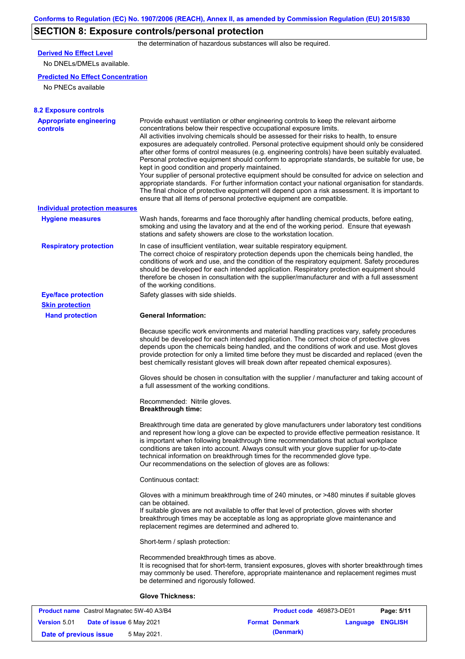# **SECTION 8: Exposure controls/personal protection**

the determination of hazardous substances will also be required.

# **Derived No Effect Level**

No DNELs/DMELs available.

### **Predicted No Effect Concentration**

No PNECs available

| <b>8.2 Exposure controls</b>               |                                                                                                                                                                                                                                                                                                                                                                                                                                                                                                                                                                                                                                                                                                                                                                                                                                                                                                                                                                                                         |
|--------------------------------------------|---------------------------------------------------------------------------------------------------------------------------------------------------------------------------------------------------------------------------------------------------------------------------------------------------------------------------------------------------------------------------------------------------------------------------------------------------------------------------------------------------------------------------------------------------------------------------------------------------------------------------------------------------------------------------------------------------------------------------------------------------------------------------------------------------------------------------------------------------------------------------------------------------------------------------------------------------------------------------------------------------------|
| <b>Appropriate engineering</b><br>controls | Provide exhaust ventilation or other engineering controls to keep the relevant airborne<br>concentrations below their respective occupational exposure limits.<br>All activities involving chemicals should be assessed for their risks to health, to ensure<br>exposures are adequately controlled. Personal protective equipment should only be considered<br>after other forms of control measures (e.g. engineering controls) have been suitably evaluated.<br>Personal protective equipment should conform to appropriate standards, be suitable for use, be<br>kept in good condition and properly maintained.<br>Your supplier of personal protective equipment should be consulted for advice on selection and<br>appropriate standards. For further information contact your national organisation for standards.<br>The final choice of protective equipment will depend upon a risk assessment. It is important to<br>ensure that all items of personal protective equipment are compatible. |
| <b>Individual protection measures</b>      |                                                                                                                                                                                                                                                                                                                                                                                                                                                                                                                                                                                                                                                                                                                                                                                                                                                                                                                                                                                                         |
| <b>Hygiene measures</b>                    | Wash hands, forearms and face thoroughly after handling chemical products, before eating,<br>smoking and using the lavatory and at the end of the working period. Ensure that eyewash<br>stations and safety showers are close to the workstation location.                                                                                                                                                                                                                                                                                                                                                                                                                                                                                                                                                                                                                                                                                                                                             |
| <b>Respiratory protection</b>              | In case of insufficient ventilation, wear suitable respiratory equipment.<br>The correct choice of respiratory protection depends upon the chemicals being handled, the<br>conditions of work and use, and the condition of the respiratory equipment. Safety procedures<br>should be developed for each intended application. Respiratory protection equipment should<br>therefore be chosen in consultation with the supplier/manufacturer and with a full assessment<br>of the working conditions.                                                                                                                                                                                                                                                                                                                                                                                                                                                                                                   |
| <b>Eye/face protection</b>                 | Safety glasses with side shields.                                                                                                                                                                                                                                                                                                                                                                                                                                                                                                                                                                                                                                                                                                                                                                                                                                                                                                                                                                       |
| <b>Skin protection</b>                     |                                                                                                                                                                                                                                                                                                                                                                                                                                                                                                                                                                                                                                                                                                                                                                                                                                                                                                                                                                                                         |
| <b>Hand protection</b>                     | <b>General Information:</b>                                                                                                                                                                                                                                                                                                                                                                                                                                                                                                                                                                                                                                                                                                                                                                                                                                                                                                                                                                             |
|                                            | Because specific work environments and material handling practices vary, safety procedures<br>should be developed for each intended application. The correct choice of protective gloves<br>depends upon the chemicals being handled, and the conditions of work and use. Most gloves<br>provide protection for only a limited time before they must be discarded and replaced (even the<br>best chemically resistant gloves will break down after repeated chemical exposures).                                                                                                                                                                                                                                                                                                                                                                                                                                                                                                                        |
|                                            | Gloves should be chosen in consultation with the supplier / manufacturer and taking account of<br>a full assessment of the working conditions.                                                                                                                                                                                                                                                                                                                                                                                                                                                                                                                                                                                                                                                                                                                                                                                                                                                          |
|                                            | Recommended: Nitrile gloves.<br><b>Breakthrough time:</b>                                                                                                                                                                                                                                                                                                                                                                                                                                                                                                                                                                                                                                                                                                                                                                                                                                                                                                                                               |
|                                            | Breakthrough time data are generated by glove manufacturers under laboratory test conditions<br>and represent how long a glove can be expected to provide effective permeation resistance. It<br>is important when following breakthrough time recommendations that actual workplace<br>conditions are taken into account. Always consult with your glove supplier for up-to-date<br>technical information on breakthrough times for the recommended glove type.<br>Our recommendations on the selection of gloves are as follows:                                                                                                                                                                                                                                                                                                                                                                                                                                                                      |
|                                            | Continuous contact:                                                                                                                                                                                                                                                                                                                                                                                                                                                                                                                                                                                                                                                                                                                                                                                                                                                                                                                                                                                     |
|                                            | Gloves with a minimum breakthrough time of 240 minutes, or >480 minutes if suitable gloves<br>can be obtained.<br>If suitable gloves are not available to offer that level of protection, gloves with shorter<br>breakthrough times may be acceptable as long as appropriate glove maintenance and<br>replacement regimes are determined and adhered to.                                                                                                                                                                                                                                                                                                                                                                                                                                                                                                                                                                                                                                                |
|                                            | Short-term / splash protection:                                                                                                                                                                                                                                                                                                                                                                                                                                                                                                                                                                                                                                                                                                                                                                                                                                                                                                                                                                         |
|                                            | Recommended breakthrough times as above.<br>It is recognised that for short-term, transient exposures, gloves with shorter breakthrough times<br>may commonly be used. Therefore, appropriate maintenance and replacement regimes must<br>be determined and rigorously followed.                                                                                                                                                                                                                                                                                                                                                                                                                                                                                                                                                                                                                                                                                                                        |
|                                            | <b>Glove Thickness:</b>                                                                                                                                                                                                                                                                                                                                                                                                                                                                                                                                                                                                                                                                                                                                                                                                                                                                                                                                                                                 |

| <b>Product name</b> Castrol Magnatec 5W-40 A3/B4 |                                 | <b>Product code</b> 469873-DE01 |  | Page: 5/11            |                         |  |
|--------------------------------------------------|---------------------------------|---------------------------------|--|-----------------------|-------------------------|--|
| <b>Version 5.01</b>                              | <b>Date of issue 6 May 2021</b> |                                 |  | <b>Format Denmark</b> | <b>Language ENGLISH</b> |  |
| Date of previous issue                           |                                 | 5 May 2021.                     |  | (Denmark)             |                         |  |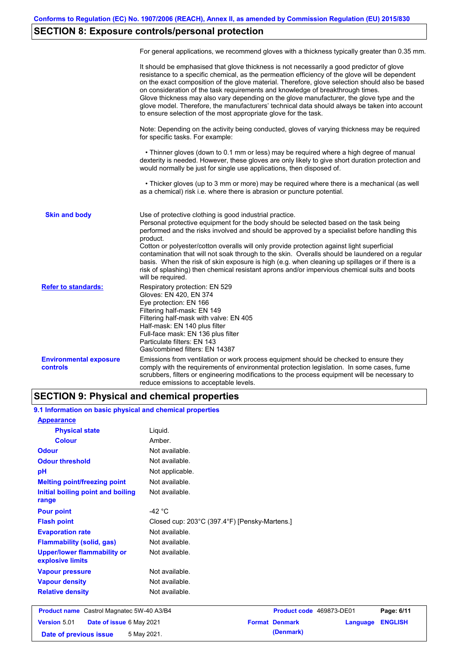# **SECTION 8: Exposure controls/personal protection**

|                                           | For general applications, we recommend gloves with a thickness typically greater than 0.35 mm.                                                                                                                                                                                                                                                                                                                                                                                                                                                                                                                                                                                        |
|-------------------------------------------|---------------------------------------------------------------------------------------------------------------------------------------------------------------------------------------------------------------------------------------------------------------------------------------------------------------------------------------------------------------------------------------------------------------------------------------------------------------------------------------------------------------------------------------------------------------------------------------------------------------------------------------------------------------------------------------|
|                                           | It should be emphasised that glove thickness is not necessarily a good predictor of glove<br>resistance to a specific chemical, as the permeation efficiency of the glove will be dependent<br>on the exact composition of the glove material. Therefore, glove selection should also be based<br>on consideration of the task requirements and knowledge of breakthrough times.<br>Glove thickness may also vary depending on the glove manufacturer, the glove type and the<br>glove model. Therefore, the manufacturers' technical data should always be taken into account<br>to ensure selection of the most appropriate glove for the task.                                     |
|                                           | Note: Depending on the activity being conducted, gloves of varying thickness may be required<br>for specific tasks. For example:                                                                                                                                                                                                                                                                                                                                                                                                                                                                                                                                                      |
|                                           | • Thinner gloves (down to 0.1 mm or less) may be required where a high degree of manual<br>dexterity is needed. However, these gloves are only likely to give short duration protection and<br>would normally be just for single use applications, then disposed of.                                                                                                                                                                                                                                                                                                                                                                                                                  |
|                                           | • Thicker gloves (up to 3 mm or more) may be required where there is a mechanical (as well<br>as a chemical) risk i.e. where there is abrasion or puncture potential.                                                                                                                                                                                                                                                                                                                                                                                                                                                                                                                 |
| <b>Skin and body</b>                      | Use of protective clothing is good industrial practice.<br>Personal protective equipment for the body should be selected based on the task being<br>performed and the risks involved and should be approved by a specialist before handling this<br>product.<br>Cotton or polyester/cotton overalls will only provide protection against light superficial<br>contamination that will not soak through to the skin. Overalls should be laundered on a regular<br>basis. When the risk of skin exposure is high (e.g. when cleaning up spillages or if there is a<br>risk of splashing) then chemical resistant aprons and/or impervious chemical suits and boots<br>will be required. |
| <b>Refer to standards:</b>                | Respiratory protection: EN 529<br>Gloves: EN 420, EN 374<br>Eye protection: EN 166<br>Filtering half-mask: EN 149<br>Filtering half-mask with valve: EN 405<br>Half-mask: EN 140 plus filter<br>Full-face mask: EN 136 plus filter<br>Particulate filters: EN 143<br>Gas/combined filters: EN 14387                                                                                                                                                                                                                                                                                                                                                                                   |
| <b>Environmental exposure</b><br>controls | Emissions from ventilation or work process equipment should be checked to ensure they<br>comply with the requirements of environmental protection legislation. In some cases, fume<br>scrubbers, filters or engineering modifications to the process equipment will be necessary to<br>reduce emissions to acceptable levels.                                                                                                                                                                                                                                                                                                                                                         |

### **SECTION 9: Physical and chemical properties**

| 9.1 Information on basic physical and chemical properties |                                                                  |                          |          |                |  |  |
|-----------------------------------------------------------|------------------------------------------------------------------|--------------------------|----------|----------------|--|--|
| <b>Appearance</b>                                         |                                                                  |                          |          |                |  |  |
| <b>Physical state</b>                                     | Liquid.                                                          |                          |          |                |  |  |
| <b>Colour</b>                                             | Amber.                                                           |                          |          |                |  |  |
| <b>Odour</b>                                              | Not available.                                                   |                          |          |                |  |  |
| <b>Odour threshold</b>                                    | Not available.                                                   |                          |          |                |  |  |
| pH                                                        | Not applicable.                                                  |                          |          |                |  |  |
| <b>Melting point/freezing point</b>                       | Not available.                                                   |                          |          |                |  |  |
| Initial boiling point and boiling<br>range                | Not available.                                                   |                          |          |                |  |  |
| <b>Pour point</b>                                         | -42 $\degree$ C<br>Closed cup: 203°C (397.4°F) [Pensky-Martens.] |                          |          |                |  |  |
| <b>Flash point</b>                                        |                                                                  |                          |          |                |  |  |
| <b>Evaporation rate</b>                                   | Not available.                                                   |                          |          |                |  |  |
| <b>Flammability (solid, gas)</b>                          | Not available.                                                   |                          |          |                |  |  |
| <b>Upper/lower flammability or</b><br>explosive limits    | Not available.                                                   |                          |          |                |  |  |
| <b>Vapour pressure</b>                                    | Not available.                                                   |                          |          |                |  |  |
| <b>Vapour density</b>                                     | Not available.                                                   |                          |          |                |  |  |
| <b>Relative density</b>                                   | Not available.                                                   |                          |          |                |  |  |
| Product name Castrol Magnatec 5W-40 A3/B4                 |                                                                  | Product code 469873-DE01 |          | Page: 6/11     |  |  |
| Version 5.01<br>Date of issue 6 May 2021                  |                                                                  | <b>Format Denmark</b>    | Language | <b>ENGLISH</b> |  |  |
| Date of previous issue                                    | 5 May 2021.                                                      | (Denmark)                |          |                |  |  |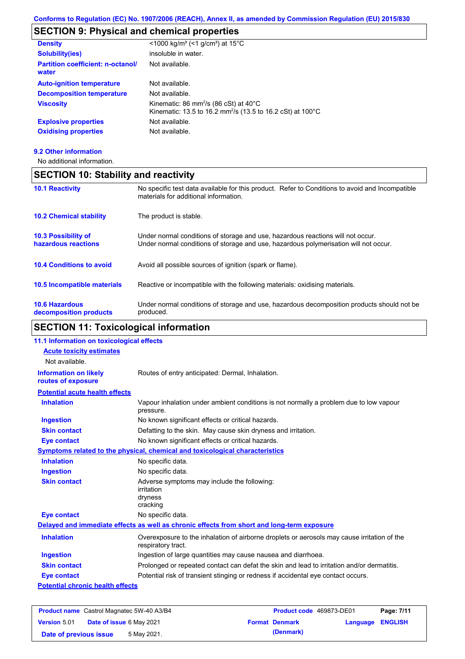# **SECTION 9: Physical and chemical properties**

| <b>Density</b>                                    | $\leq$ 1000 kg/m <sup>3</sup> (<1 g/cm <sup>3</sup> ) at 15 <sup>°</sup> C                                                             |
|---------------------------------------------------|----------------------------------------------------------------------------------------------------------------------------------------|
| <b>Solubility(ies)</b>                            | insoluble in water.                                                                                                                    |
| <b>Partition coefficient: n-octanol/</b><br>water | Not available.                                                                                                                         |
| <b>Auto-ignition temperature</b>                  | Not available.                                                                                                                         |
| <b>Decomposition temperature</b>                  | Not available.                                                                                                                         |
| <b>Viscosity</b>                                  | Kinematic: 86 mm <sup>2</sup> /s (86 cSt) at $40^{\circ}$ C<br>Kinematic: 13.5 to 16.2 mm <sup>2</sup> /s (13.5 to 16.2 cSt) at 100 °C |
| <b>Explosive properties</b>                       | Not available.                                                                                                                         |
| <b>Oxidising properties</b>                       | Not available.                                                                                                                         |
|                                                   |                                                                                                                                        |

#### **9.2 Other information**

Ĭ

No additional information.

| <b>SECTION 10: Stability and reactivity</b>       |                                                                                                                                                                         |  |  |
|---------------------------------------------------|-------------------------------------------------------------------------------------------------------------------------------------------------------------------------|--|--|
| <b>10.1 Reactivity</b>                            | No specific test data available for this product. Refer to Conditions to avoid and Incompatible<br>materials for additional information.                                |  |  |
| <b>10.2 Chemical stability</b>                    | The product is stable.                                                                                                                                                  |  |  |
| <b>10.3 Possibility of</b><br>hazardous reactions | Under normal conditions of storage and use, hazardous reactions will not occur.<br>Under normal conditions of storage and use, hazardous polymerisation will not occur. |  |  |
| <b>10.4 Conditions to avoid</b>                   | Avoid all possible sources of ignition (spark or flame).                                                                                                                |  |  |
| <b>10.5 Incompatible materials</b>                | Reactive or incompatible with the following materials: oxidising materials.                                                                                             |  |  |
| <b>10.6 Hazardous</b><br>decomposition products   | Under normal conditions of storage and use, hazardous decomposition products should not be<br>produced.                                                                 |  |  |

# **SECTION 11: Toxicological information**

| 11.1 Information on toxicological effects          |                                                                                                                   |
|----------------------------------------------------|-------------------------------------------------------------------------------------------------------------------|
| <b>Acute toxicity estimates</b>                    |                                                                                                                   |
| Not available.                                     |                                                                                                                   |
| <b>Information on likely</b><br>routes of exposure | Routes of entry anticipated: Dermal, Inhalation.                                                                  |
| <b>Potential acute health effects</b>              |                                                                                                                   |
| <b>Inhalation</b>                                  | Vapour inhalation under ambient conditions is not normally a problem due to low vapour<br>pressure.               |
| <b>Ingestion</b>                                   | No known significant effects or critical hazards.                                                                 |
| <b>Skin contact</b>                                | Defatting to the skin. May cause skin dryness and irritation.                                                     |
| <b>Eye contact</b>                                 | No known significant effects or critical hazards.                                                                 |
|                                                    | Symptoms related to the physical, chemical and toxicological characteristics                                      |
| <b>Inhalation</b>                                  | No specific data.                                                                                                 |
| <b>Ingestion</b>                                   | No specific data.                                                                                                 |
| <b>Skin contact</b>                                | Adverse symptoms may include the following:<br>irritation<br>dryness<br>cracking                                  |
| <b>Eye contact</b>                                 | No specific data.                                                                                                 |
|                                                    | Delayed and immediate effects as well as chronic effects from short and long-term exposure                        |
| <b>Inhalation</b>                                  | Overexposure to the inhalation of airborne droplets or aerosols may cause irritation of the<br>respiratory tract. |
| <b>Ingestion</b>                                   | Ingestion of large quantities may cause nausea and diarrhoea.                                                     |
| <b>Skin contact</b>                                | Prolonged or repeated contact can defat the skin and lead to irritation and/or dermatitis.                        |
| <b>Eye contact</b>                                 | Potential risk of transient stinging or redness if accidental eye contact occurs.                                 |
| <b>Potential chronic health effects</b>            |                                                                                                                   |
|                                                    |                                                                                                                   |

| <b>Product name</b> Castrol Magnatec 5W-40 A3/B4 |                                 | <b>Product code</b> 469873-DE01 |  | Page: 7/11            |                  |  |
|--------------------------------------------------|---------------------------------|---------------------------------|--|-----------------------|------------------|--|
| <b>Version 5.01</b>                              | <b>Date of issue 6 May 2021</b> |                                 |  | <b>Format Denmark</b> | Language ENGLISH |  |
| Date of previous issue                           |                                 | 5 May 2021.                     |  | (Denmark)             |                  |  |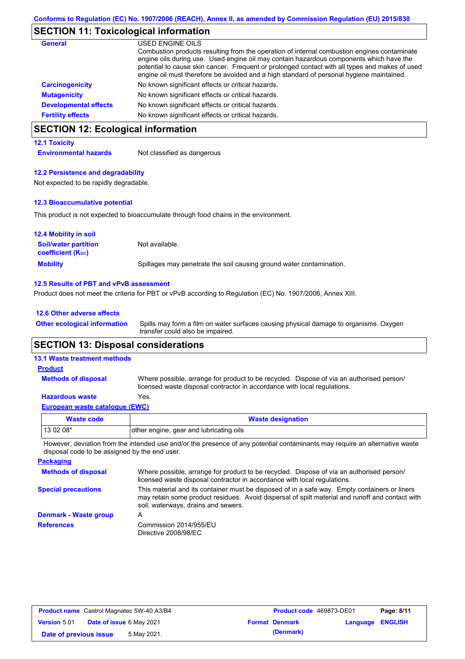### **SECTION 11: Toxicological information**

| <b>General</b>               | USED ENGINE OILS                                                                                                                                                                                                                                                                                                                                                                     |
|------------------------------|--------------------------------------------------------------------------------------------------------------------------------------------------------------------------------------------------------------------------------------------------------------------------------------------------------------------------------------------------------------------------------------|
|                              | Combustion products resulting from the operation of internal combustion engines contaminate<br>engine oils during use. Used engine oil may contain hazardous components which have the<br>potential to cause skin cancer. Frequent or prolonged contact with all types and makes of used<br>engine oil must therefore be avoided and a high standard of personal hygiene maintained. |
| <b>Carcinogenicity</b>       | No known significant effects or critical hazards.                                                                                                                                                                                                                                                                                                                                    |
| <b>Mutagenicity</b>          | No known significant effects or critical hazards.                                                                                                                                                                                                                                                                                                                                    |
| <b>Developmental effects</b> | No known significant effects or critical hazards.                                                                                                                                                                                                                                                                                                                                    |
| <b>Fertility effects</b>     | No known significant effects or critical hazards.                                                                                                                                                                                                                                                                                                                                    |

# **SECTION 12: Ecological information**

#### **12.1 Toxicity**

**Environmental hazards** Not classified as dangerous

#### **12.2 Persistence and degradability**

Not expected to be rapidly degradable.

#### **12.3 Bioaccumulative potential**

This product is not expected to bioaccumulate through food chains in the environment.

| <b>12.4 Mobility in soil</b>                            |                                                                      |
|---------------------------------------------------------|----------------------------------------------------------------------|
| <b>Soil/water partition</b><br><b>coefficient (Koc)</b> | Not available.                                                       |
| <b>Mobility</b>                                         | Spillages may penetrate the soil causing ground water contamination. |

#### **12.5 Results of PBT and vPvB assessment**

Product does not meet the criteria for PBT or vPvB according to Regulation (EC) No. 1907/2006, Annex XIII.

#### **12.6 Other adverse effects**

Spills may form a film on water surfaces causing physical damage to organisms. Oxygen transfer could also be impaired. **Other ecological information**

### **SECTION 13: Disposal considerations**

#### **13.1 Waste treatment methods**

**Methods of disposal**

#### **Product**

Where possible, arrange for product to be recycled. Dispose of via an authorised person/ licensed waste disposal contractor in accordance with local regulations.

#### **Hazardous waste** Yes.

| European waste catalogue (EWC) |  |  |
|--------------------------------|--|--|
|                                |  |  |

| Waste code | <b>Waste designation</b>                |  |
|------------|-----------------------------------------|--|
| 13 02 08*  | other engine, gear and lubricating oils |  |

However, deviation from the intended use and/or the presence of any potential contaminants may require an alternative waste disposal code to be assigned by the end user.

| <b>Packaging</b>           |                                                                                                                                                                                                                                         |
|----------------------------|-----------------------------------------------------------------------------------------------------------------------------------------------------------------------------------------------------------------------------------------|
| <b>Methods of disposal</b> | Where possible, arrange for product to be recycled. Dispose of via an authorised person/<br>licensed waste disposal contractor in accordance with local regulations.                                                                    |
| <b>Special precautions</b> | This material and its container must be disposed of in a safe way. Empty containers or liners<br>may retain some product residues. Avoid dispersal of spilt material and runoff and contact with<br>soil, waterways, drains and sewers. |
| Denmark - Waste group      | А                                                                                                                                                                                                                                       |
| <b>References</b>          | Commission 2014/955/EU<br>Directive 2008/98/EC                                                                                                                                                                                          |

| <b>Product name</b> Castrol Magnatec 5W-40 A3/B4 |                                 |  | <b>Product code</b> 469873-DE01 | Page: 8/11       |  |
|--------------------------------------------------|---------------------------------|--|---------------------------------|------------------|--|
| <b>Version 5.01</b>                              | <b>Date of issue 6 May 2021</b> |  | <b>Format Denmark</b>           | Language ENGLISH |  |
| Date of previous issue                           | 5 May 2021.                     |  | (Denmark)                       |                  |  |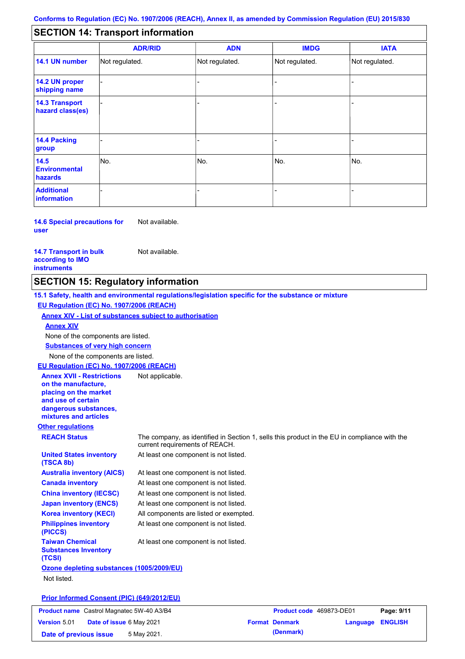#### - - - - - - - - - Not regulated. Not regulated. Not regulated. - - - **SECTION 14: Transport information ADR/RID IMDG IATA 14.1 UN number 14.2 UN proper shipping name 14.3 Transport hazard class(es) 14.4 Packing group ADN Additional information 14.5 Environmental hazards** No. 1988 | No. 1989 | No. 1989 | No. 1989 | No. 1989 | No. 1989 | No. 1989 | No. 1989 | No. 1989 | No. 1989 | Not regulated. - -<br>No. - -

**14.6 Special precautions for user** Not available.

**14.7 Transport in bulk according to IMO instruments**

Not available.

# **SECTION 15: Regulatory information**

**Other regulations REACH Status** The company, as identified in Section 1, sells this product in the EU in compliance with the current requirements of REACH. **15.1 Safety, health and environmental regulations/legislation specific for the substance or mixture EU Regulation (EC) No. 1907/2006 (REACH) Annex XIV - List of substances subject to authorisation Substances of very high concern** None of the components are listed. At least one component is not listed. At least one component is not listed. At least one component is not listed. At least one component is not listed. At least one component is not listed. All components are listed or exempted. At least one component is not listed. **United States inventory (TSCA 8b) Australia inventory (AICS) Canada inventory China inventory (IECSC) Japan inventory (ENCS) Korea inventory (KECI) Philippines inventory (PICCS) Taiwan Chemical Substances Inventory (TCSI)** At least one component is not listed. **Ozone depleting substances (1005/2009/EU)** Not listed. None of the components are listed. **Annex XIV EU Regulation (EC) No. 1907/2006 (REACH) Annex XVII - Restrictions on the manufacture, placing on the market and use of certain dangerous substances, mixtures and articles** Not applicable.

### **Prior Informed Consent (PIC) (649/2012/EU)**

| <b>Product name</b> Castrol Magnatec 5W-40 A3/B4       | <b>Product code</b> 469873-DE01 |                  | Page: 9/11 |
|--------------------------------------------------------|---------------------------------|------------------|------------|
| <b>Version 5.01</b><br><b>Date of issue 6 May 2021</b> | <b>Format Denmark</b>           | Language ENGLISH |            |
| 5 May 2021.<br>Date of previous issue                  | (Denmark)                       |                  |            |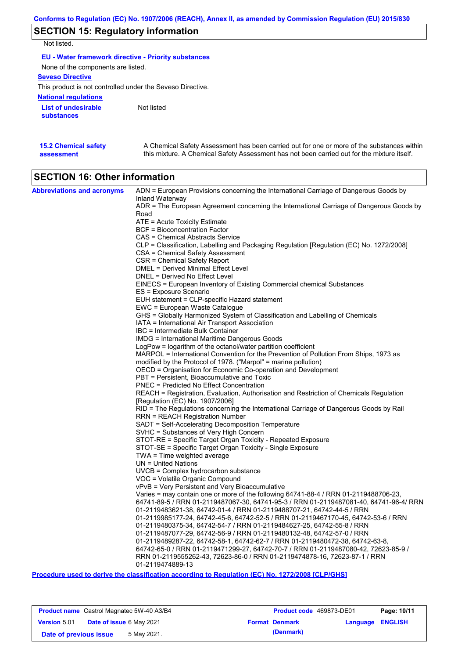# **SECTION 15: Regulatory information**

Not listed.

**EU - Water framework directive - Priority substances**

None of the components are listed.

**Seveso Directive**

This product is not controlled under the Seveso Directive.

**National regulations**

**List of undesirable substances** Not listed

| <b>15.2 Chemical safety</b> | A Chemical Safety Assessment has been carried out for one or more of the substances within  |
|-----------------------------|---------------------------------------------------------------------------------------------|
| assessment                  | this mixture. A Chemical Safety Assessment has not been carried out for the mixture itself. |
|                             |                                                                                             |

# **SECTION 16: Other information**

| <b>Abbreviations and acronyms</b> | ADN = European Provisions concerning the International Carriage of Dangerous Goods by<br>Inland Waterway                                              |
|-----------------------------------|-------------------------------------------------------------------------------------------------------------------------------------------------------|
|                                   | ADR = The European Agreement concerning the International Carriage of Dangerous Goods by<br>Road                                                      |
|                                   | ATE = Acute Toxicity Estimate                                                                                                                         |
|                                   | <b>BCF</b> = Bioconcentration Factor                                                                                                                  |
|                                   | CAS = Chemical Abstracts Service                                                                                                                      |
|                                   | CLP = Classification, Labelling and Packaging Regulation [Regulation (EC) No. 1272/2008]                                                              |
|                                   | CSA = Chemical Safety Assessment                                                                                                                      |
|                                   | CSR = Chemical Safety Report                                                                                                                          |
|                                   | DMEL = Derived Minimal Effect Level                                                                                                                   |
|                                   | DNEL = Derived No Effect Level                                                                                                                        |
|                                   | EINECS = European Inventory of Existing Commercial chemical Substances                                                                                |
|                                   | ES = Exposure Scenario                                                                                                                                |
|                                   | EUH statement = CLP-specific Hazard statement                                                                                                         |
|                                   | EWC = European Waste Catalogue                                                                                                                        |
|                                   | GHS = Globally Harmonized System of Classification and Labelling of Chemicals                                                                         |
|                                   | IATA = International Air Transport Association<br>IBC = Intermediate Bulk Container                                                                   |
|                                   | IMDG = International Maritime Dangerous Goods                                                                                                         |
|                                   | LogPow = logarithm of the octanol/water partition coefficient                                                                                         |
|                                   | MARPOL = International Convention for the Prevention of Pollution From Ships, 1973 as                                                                 |
|                                   | modified by the Protocol of 1978. ("Marpol" = marine pollution)                                                                                       |
|                                   | OECD = Organisation for Economic Co-operation and Development                                                                                         |
|                                   | PBT = Persistent, Bioaccumulative and Toxic                                                                                                           |
|                                   | PNEC = Predicted No Effect Concentration                                                                                                              |
|                                   | REACH = Registration, Evaluation, Authorisation and Restriction of Chemicals Regulation                                                               |
|                                   | [Regulation (EC) No. 1907/2006]                                                                                                                       |
|                                   | RID = The Regulations concerning the International Carriage of Dangerous Goods by Rail                                                                |
|                                   | <b>RRN = REACH Registration Number</b>                                                                                                                |
|                                   | SADT = Self-Accelerating Decomposition Temperature<br>SVHC = Substances of Very High Concern                                                          |
|                                   | STOT-RE = Specific Target Organ Toxicity - Repeated Exposure                                                                                          |
|                                   | STOT-SE = Specific Target Organ Toxicity - Single Exposure                                                                                            |
|                                   | TWA = Time weighted average                                                                                                                           |
|                                   | $UN = United Nations$                                                                                                                                 |
|                                   | UVCB = Complex hydrocarbon substance                                                                                                                  |
|                                   | VOC = Volatile Organic Compound                                                                                                                       |
|                                   | vPvB = Very Persistent and Very Bioaccumulative                                                                                                       |
|                                   | Varies = may contain one or more of the following 64741-88-4 / RRN 01-2119488706-23,                                                                  |
|                                   | 64741-89-5 / RRN 01-2119487067-30, 64741-95-3 / RRN 01-2119487081-40, 64741-96-4/ RRN                                                                 |
|                                   | 01-2119483621-38, 64742-01-4 / RRN 01-2119488707-21, 64742-44-5 / RRN                                                                                 |
|                                   | 01-2119985177-24, 64742-45-6, 64742-52-5 / RRN 01-2119467170-45, 64742-53-6 / RRN                                                                     |
|                                   | 01-2119480375-34, 64742-54-7 / RRN 01-2119484627-25, 64742-55-8 / RRN                                                                                 |
|                                   | 01-2119487077-29, 64742-56-9 / RRN 01-2119480132-48, 64742-57-0 / RRN<br>01-2119489287-22, 64742-58-1, 64742-62-7 / RRN 01-2119480472-38, 64742-63-8, |
|                                   | 64742-65-0 / RRN 01-2119471299-27, 64742-70-7 / RRN 01-2119487080-42, 72623-85-9 /                                                                    |
|                                   | RRN 01-2119555262-43, 72623-86-0 / RRN 01-2119474878-16, 72623-87-1 / RRN                                                                             |
|                                   | 01-2119474889-13                                                                                                                                      |
|                                   |                                                                                                                                                       |

**Procedure used to derive the classification according to Regulation (EC) No. 1272/2008 [CLP/GHS]**

|                        |                                 | <b>Product name</b> Castrol Magnatec 5W-40 A3/B4 | Product code 469873-DE01 |                         | Page: 10/11 |
|------------------------|---------------------------------|--------------------------------------------------|--------------------------|-------------------------|-------------|
| <b>Version 5.01</b>    | <b>Date of issue 6 May 2021</b> |                                                  | <b>Format Denmark</b>    | <b>Language ENGLISH</b> |             |
| Date of previous issue |                                 | 5 May 2021.                                      | (Denmark)                |                         |             |